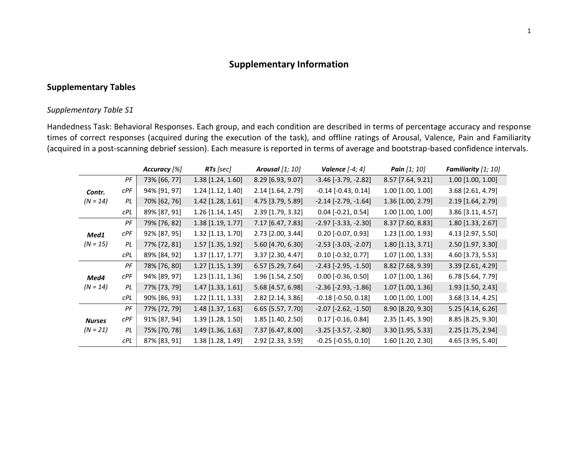# **Supplementary Information**

### **Supplementary Tables**

#### *Supplementary Table S1*

Handedness Task: Behavioral Responses. Each group, and each condition are described in terms of percentage accuracy and response times of correct responses (acquired during the execution of the task), and offline ratings of Arousal, Valence, Pain and Familiarity (acquired in a post-scanning debrief session). Each measure is reported in terms of average and bootstrap-based confidence intervals.

|               |            | Accuracy [%] | RTs [sec]           | <b>Arousal</b> [1; 10] | Valence $[-4; 4]$             | Pain [1; 10]        | Familiarity [1; 10] |
|---------------|------------|--------------|---------------------|------------------------|-------------------------------|---------------------|---------------------|
|               | PF         | 73% [66, 77] | 1.38 [1.24, 1.60]   | 8.29 [6.93, 9.07]      | $-3.46$ [ $-3.79$ , $-2.82$ ] | 8.57 [7.64, 9.21]   | $1.00$ [1.00, 1.00] |
| Contr.        | CPF        | 94% [91, 97] | 1.24 [1.12, 1.40]   | 2.14 [1.64, 2.79]      | $-0.14$ $[-0.43, 0.14]$       | 1.00 [1.00, 1.00]   | 3.68 [2.61, 4.79]   |
| $(N = 14)$    | PL         | 70% [62, 76] | 1.42 [1.28, 1.61]   | 4.75 [3.79, 5.89]      | $-2.14$ [ $-2.79$ , $-1.64$ ] | 1.36 [1.00, 2.79]   | 2.19 [1.64, 2.79]   |
|               | cPL        | 89% [87, 91] | 1.26 [1.14, 1.45]   | 2.39 [1.79, 3.32]      | $0.04$ [-0.21, 0.54]          | 1.00 [1.00, 1.00]   | 3.86 [3.11, 4.57]   |
|               | PF         | 79% [76, 82] | 1.38 [1.19, 1.77]   | 7.17 [6.47, 7.83]      | $-2.97$ $[-3.33, -2.30]$      | 8.37 [7.60, 8.83]   | 1.80 [1.33, 2.67]   |
| Med1          | CPF        | 92% [87, 95] | 1.32 [1.13, 1.70]   | 2.73 [2.00, 3.44]      | $0.20$ [-0.07, 0.93]          | 1.23 [1.00, 1.93]   | 4.13 [2.97, 5.50]   |
| $(N = 15)$    | PL         | 77% [72, 81] | 1.57 [1.35, 1.92]   | 5.60 [4.70, 6.30]      | $-2.53$ $[-3.03, -2.07]$      | 1.80 [1.13, 3.71]   | 2.50 [1.97, 3.30]   |
|               | <b>CPL</b> | 89% [84, 92] | $1.37$ [1.17, 1.77] | 3.37 [2.30, 4.47]      | $0.10$ [-0.32, 0.77]          | 1.07 [1.00, 1.33]   | 4.60 [3.73, 5.53]   |
|               | PF         | 78% [76, 80] | 1.27 [1.15, 1.39]   | 6.57 [5.29, 7.64]      | $-2.43$ $[-2.95, -1.50]$      | 8.82 [7.68, 9.39]   | 3.39 [2.61, 4.29]   |
| Med4          | CPF        | 94% [89, 97] | $1.23$ [1.11, 1.36] | 1.96 [1.54, 2.50]      | $0.00$ [-0.36, 0.50]          | 1.07 [1.00, 1.36]   | 6.78 [5.64, 7.79]   |
| $(N = 14)$    | PL         | 77% [73, 79] | $1.47$ [1.33, 1.61] | 5.68 [4.57, 6.98]      | $-2.36$ $[-2.93, -1.86]$      | 1.07 [1.00, 1.36]   | 1.93 [1.50, 2.43]   |
|               | cPL        | 90% [86, 93] | 1.22 [1.11, 1.33]   | 2.82 [2.14, 3.86]      | $-0.18$ $[-0.50, 0.18]$       | $1.00$ [1.00, 1.00] | 3.68 [3.14, 4.25]   |
|               | PF         | 77% [72, 79] | 1.48 [1.37, 1.63]   | 6.65 [5.57, 7.70]      | $-2.07$ $[-2.62, -1.50]$      | 8.90 [8.20, 9.30]   | 5.25 [4.14, 6.26]   |
| <b>Nurses</b> | CPF        | 91% [87, 94] | 1.39 [1.28, 1.50]   | 1.85 [1.40, 2.50]      | $0.17$ [-0.16, 0.84]          | 2.35 [1.45, 3.90]   | 8.85 [8.25, 9.30]   |
| $(N = 21)$    | PL         | 75% [70, 78] | 1.49 [1.36, 1.63]   | 7.37 [6.47, 8.00]      | $-3.25$ $[-3.57, -2.80]$      | 3.30 [1.95, 5.33]   | 2.25 [1.75, 2.94]   |
|               | cPL        | 87% [83, 91] | 1.38 [1.28, 1.49]   | 2.92 [2.33, 3.59]      | $-0.25$ $[-0.55, 0.10]$       | 1.60 [1.20, 2.30]   | 4.65 [3.95, 5.40]   |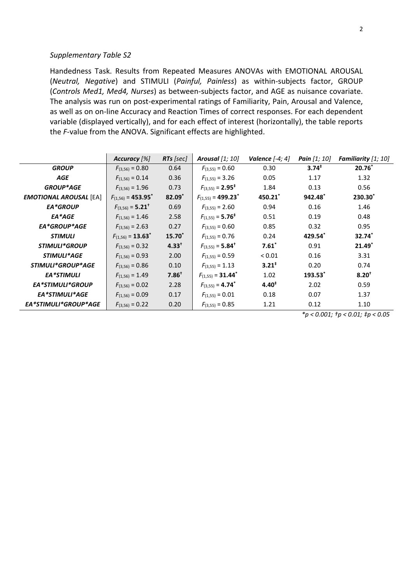Handedness Task. Results from Repeated Measures ANOVAs with EMOTIONAL AROUSAL (*Neutral, Negative*) and STIMULI (*Painful, Painless*) as within-subjects factor, GROUP (*Controls Med1, Med4, Nurses*) as between-subjects factor, and AGE as nuisance covariate. The analysis was run on post-experimental ratings of Familiarity, Pain, Arousal and Valence, as well as on on-line Accuracy and Reaction Times of correct responses. For each dependent variable (displayed vertically), and for each effect of interest (horizontally), the table reports the *F*-value from the ANOVA. Significant effects are highlighted.

|                               | Accuracy [%]                       | $RTs$ [sec] | Arousal $[1; 10]$                  | Valence $[-4, 4]$ | <b>Pain</b> $[1; 10]$ | <b>Familiarity</b> $[1; 10]$ |
|-------------------------------|------------------------------------|-------------|------------------------------------|-------------------|-----------------------|------------------------------|
| <b>GROUP</b>                  | $F_{(3,56)} = 0.80$                | 0.64        | $F_{(3,55)} = 0.60$                | 0.30              | $3.74^{*}$            | $20.76*$                     |
| <b>AGE</b>                    | $F_{(1,56)} = 0.14$                | 0.36        | $F_{(1,55)} = 3.26$                | 0.05              | 1.17                  | 1.32                         |
| <b>GROUP*AGE</b>              | $F_{(3.56)} = 1.96$                | 0.73        | $F_{(3,55)} = 2.95^*$              | 1.84              | 0.13                  | 0.56                         |
| <b>EMOTIONAL AROUSAL [EA]</b> | $F_{(1,56)} = 453.95$ <sup>*</sup> | 82.09*      | $F_{(1,55)} = 499.23$ <sup>*</sup> | 450.21            | $942.48^*$            | $230.30^*$                   |
| EA*GROUP                      | $F_{(3,56)} = 5.21^+$              | 0.69        | $F_{(3,55)} = 2.60$                | 0.94              | 0.16                  | 1.46                         |
| EA*AGE                        | $F_{(1,56)} = 1.46$                | 2.58        | $F_{(1,55)} = 5.76^+$              | 0.51              | 0.19                  | 0.48                         |
| EA*GROUP*AGE                  | $F_{(3.56)} = 2.63$                | 0.27        | $F_{(3.55)} = 0.60$                | 0.85              | 0.32                  | 0.95                         |
| <b>STIMULI</b>                | $F_{(1.56)} = 13.63^*$             | $15.70*$    | $F_{(1,55)} = 0.76$                | 0.24              | 429.54                | 32.74*                       |
| STIMULI*GROUP                 | $F_{(3.56)} = 0.32$                | $4.33^{+}$  | $F_{(3,55)} = 5.84^+$              | $7.61*$           | 0.91                  | $21.49$ <sup>*</sup>         |
| STIMULI*AGE                   | $F_{(1,56)} = 0.93$                | 2.00        | $F_{(1,55)} = 0.59$                | < 0.01            | 0.16                  | 3.31                         |
| STIMULI*GROUP*AGE             | $F_{(3.56)} = 0.86$                | 0.10        | $F_{(3,55)} = 1.13$                | $3.21^{+}$        | 0.20                  | 0.74                         |
| <b>EA*STIMULI</b>             | $F_{(1,56)} = 1.49$                | $7.86^+$    | $F(1,55) = 31.44^*$                | 1.02              | $193.53*$             | $8.20^{+}$                   |
| <b>EA*STIMULI*GROUP</b>       | $F_{(3.56)} = 0.02$                | 2.28        | $F_{(3,55)} = 4.74$ <sup>*</sup>   | $4.40^{*}$        | 2.02                  | 0.59                         |
| EA*STIMULI*AGE                | $F_{(1,56)} = 0.09$                | 0.17        | $F_{(1,55)} = 0.01$                | 0.18              | 0.07                  | 1.37                         |
| EA*STIMULI*GROUP*AGE          | $F_{(3,56)} = 0.22$                | 0.20        | $F_{(3,55)} = 0.85$                | 1.21              | 0.12                  | 1.10                         |

*\*p < 0.001; †p < 0.01; ‡p < 0.05*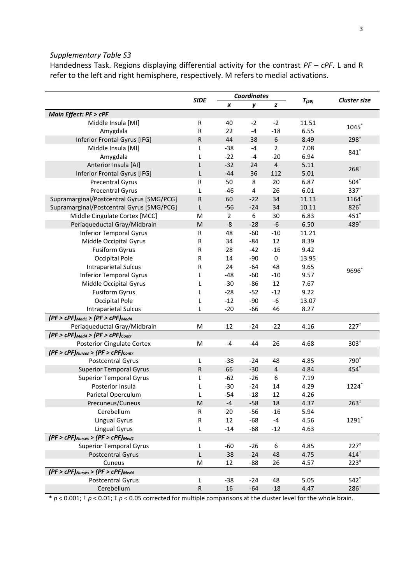Handedness Task. Regions displaying differential activity for the contrast *PF – cPF*. L and R refer to the left and right hemisphere, respectively. M refers to medial activations.

|                                              | <b>SIDE</b> |                | <b>Coordinates</b> |                |            | <b>Cluster size</b> |
|----------------------------------------------|-------------|----------------|--------------------|----------------|------------|---------------------|
|                                              |             | X              | у                  | z              | $T_{(59)}$ |                     |
| Main Effect: PF > cPF                        |             |                |                    |                |            |                     |
| Middle Insula [MI]                           | R           | 40             | $-2$               | $-2$           | 11.51      | 1045*               |
| Amygdala                                     | R           | 22             | $-4$               | $-18$          | 6.55       |                     |
| Inferior Frontal Gyrus [IFG]                 | ${\sf R}$   | 44             | 38                 | 6              | 8.49       | 298 <sup>†</sup>    |
| Middle Insula [MI]                           | L           | $-38$          | $-4$               | $\overline{2}$ | 7.08       | $841*$              |
| Amygdala                                     | L           | $-22$          | $-4$               | $-20$          | 6.94       |                     |
| Anterior Insula [AI]                         | L           | $-32$          | 24                 | $\overline{4}$ | 5.11       | $268^{+}$           |
| Inferior Frontal Gyrus [IFG]                 | L           | $-44$          | 36                 | 112            | 5.01       |                     |
| <b>Precentral Gyrus</b>                      | R           | 50             | 8                  | 20             | 6.87       | $504*$              |
| <b>Precentral Gyrus</b>                      | L           | $-46$          | 4                  | 26             | 6.01       | $337^{+}$           |
| Supramarginal/Postcentral Gyrus [SMG/PCG]    | ${\sf R}$   | 60             | $-22$              | 34             | 11.13      | 1164*               |
| Supramarginal/Postcentral Gyrus [SMG/PCG]    | L           | $-56$          | $-24$              | 34             | 10.11      | $826*$              |
| Middle Cingulate Cortex [MCC]                | M           | $\overline{2}$ | 6                  | 30             | 6.83       | $451^+$             |
| Periaqueductal Gray/Midbrain                 | M           | -8             | $-28$              | $-6$           | 6.50       | 489*                |
| <b>Inferior Temporal Gyrus</b>               | R           | 48             | -60                | $-10$          | 11.21      |                     |
| Middle Occipital Gyrus                       | R           | 34             | -84                | 12             | 8.39       |                     |
| <b>Fusiform Gyrus</b>                        | R           | 28             | $-42$              | $-16$          | 9.42       |                     |
| Occipital Pole                               | R           | 14             | $-90$              | $\mathbf 0$    | 13.95      |                     |
| <b>Intraparietal Sulcus</b>                  | R           | 24             | -64                | 48             | 9.65       | $9696*$             |
| <b>Inferior Temporal Gyrus</b>               | L           | -48            | $-60$              | $-10$          | 9.57       |                     |
| Middle Occipital Gyrus                       | L           | $-30$          | -86                | 12             | 7.67       |                     |
| <b>Fusiform Gyrus</b>                        | L           | $-28$          | $-52$              | $-12$          | 9.22       |                     |
| Occipital Pole                               | L           | $-12$          | $-90$              | $-6$           | 13.07      |                     |
| <b>Intraparietal Sulcus</b>                  | L           | $-20$          | -66                | 46             | 8.27       |                     |
| $(PF > cPF)_{Med1}$ > $(PF > cPF)_{Med4}$    |             |                |                    |                |            |                     |
| Periaqueductal Gray/Midbrain                 | M           | 12             | $-24$              | $-22$          | 4.16       | 227 <sup>†</sup>    |
| $(PF > cPF)_{Med4}$ > $(PF > cPF)_{contr}$   |             |                |                    |                |            |                     |
| <b>Posterior Cingulate Cortex</b>            | M           | -4             | -44                | 26             | 4.68       | $303+$              |
| $(PF > cPF)_{Nurses}$ > $(PF > cPF)_{contr}$ |             |                |                    |                |            |                     |
| Postcentral Gyrus                            | L           | $-38$          | $-24$              | 48             | 4.85       | $790^*$             |
| <b>Superior Temporal Gyrus</b>               | R           | 66             | $-30$              | 4              | 4.84       | 454                 |
| <b>Superior Temporal Gyrus</b>               | L           | $-62$          | $-26$              | 6              | 7.19       |                     |
| Posterior Insula                             | L           | $-30$          | $-24$              | 14             | 4.29       | 1224                |
| Parietal Operculum                           | L           | $-54$          | $-18$              | 12             | 4.26       |                     |
| Precuneus/Cuneus                             | ${\sf M}$   | $-4$           | $-58$              | 18             | 4.37       | $263*$              |
| Cerebellum                                   | R           | 20             | $-56$              | $-16$          | 5.94       |                     |
| <b>Lingual Gyrus</b>                         | R           | 12             | $-68$              | $-4$           | 4.56       | 1291*               |
| <b>Lingual Gyrus</b>                         | L           | $-14$          | $-68$              | $-12$          | 4.63       |                     |
| $(PF > cPF)_{Nurses}$ > $(PF > cPF)_{Med1}$  |             |                |                    |                |            |                     |
| <b>Superior Temporal Gyrus</b>               | L           | $-60$          | $-26$              | 6              | 4.85       | 227 <sup>‡</sup>    |
| <b>Postcentral Gyrus</b>                     | L           | $-38$          | $-24$              | 48             | 4.75       | $414^{+}$           |
| Cuneus                                       | M           | 12             | $-88$              | 26             | 4.57       | $223^{\ddagger}$    |
| $(PF > cPF)_{Nurses}$ > $(PF > cPF)_{Med4}$  |             |                |                    |                |            |                     |
| Postcentral Gyrus                            | L           | $-38$          | $-24$              | 48             | 5.05       | $542$ <sup>*</sup>  |
| Cerebellum                                   | ${\sf R}$   | 16             | $-64$              | $-18$          | 4.47       | $286^{+}$           |

 $* p < 0.001$ ;  $\dagger p < 0.01$ ;  $\dagger p < 0.05$  corrected for multiple comparisons at the cluster level for the whole brain.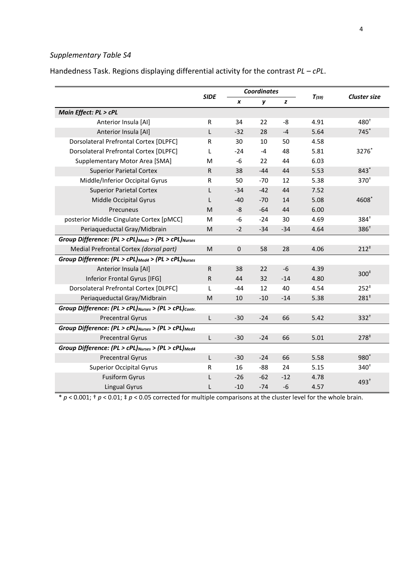Handedness Task. Regions displaying differential activity for the contrast *PL – cPL*.

|                                                                             | <b>SIDE</b>  |                  | <b>Coordinates</b> |       |            |                     |
|-----------------------------------------------------------------------------|--------------|------------------|--------------------|-------|------------|---------------------|
|                                                                             |              | x                | y                  | z     | $T_{(59)}$ | <b>Cluster size</b> |
| Main Effect: PL > cPL                                                       |              |                  |                    |       |            |                     |
| Anterior Insula [AI]                                                        | R            | 34               | 22                 | -8    | 4.91       | $480^+$             |
| Anterior Insula [AI]                                                        | L            | $-32$            | 28                 | $-4$  | 5.64       | 745                 |
| Dorsolateral Prefrontal Cortex [DLPFC]                                      | R            | 30               | 10                 | 50    | 4.58       |                     |
| Dorsolateral Prefrontal Cortex [DLPFC]                                      | L            | $-24$            | $-4$               | 48    | 5.81       | 3276*               |
| Supplementary Motor Area [SMA]                                              | M            | $-6$             | 22                 | 44    | 6.03       |                     |
| <b>Superior Parietal Cortex</b>                                             | $\mathsf{R}$ | 38               | $-44$              | 44    | 5.53       | $843*$              |
| Middle/Inferior Occipital Gyrus                                             | R            | 50               | $-70$              | 12    | 5.38       | $370^{+}$           |
| <b>Superior Parietal Cortex</b>                                             | L            | $-34$            | $-42$              | 44    | 7.52       |                     |
| Middle Occipital Gyrus                                                      | L            | $-40$            | $-70$              | 14    | 5.08       | 4608                |
| Precuneus                                                                   | M            | -8               | $-64$              | 44    | 6.00       |                     |
| posterior Middle Cingulate Cortex [pMCC]                                    | M            | $-6$             | $-24$              | 30    | 4.69       | $384^{+}$           |
| Periaqueductal Gray/Midbrain                                                | M            | $-2$             | $-34$              | $-34$ | 4.64       | 386 <sup>†</sup>    |
| Group Difference: (PL > cPL) <sub>Med1</sub> > (PL > cPL) <sub>Nurses</sub> |              |                  |                    |       |            |                     |
| Medial Prefrontal Cortex (dorsal part)                                      | M            | $\boldsymbol{0}$ | 58                 | 28    | 4.06       | $212^+$             |
| Group Difference: (PL > cPL) Med4 > (PL > cPL) Nurses                       |              |                  |                    |       |            |                     |
| Anterior Insula [AI]                                                        | $\mathsf{R}$ | 38               | 22                 | $-6$  | 4.39       | $300*$              |
| Inferior Frontal Gyrus [IFG]                                                | $\mathsf{R}$ | 44               | 32                 | $-14$ | 4.80       |                     |
| Dorsolateral Prefrontal Cortex [DLPFC]                                      | L            | $-44$            | 12                 | 40    | 4.54       | $252*$              |
| Periaqueductal Gray/Midbrain                                                | M            | 10               | $-10$              | $-14$ | 5.38       | $281^*$             |
| Group Difference: (PL > cPL) Nurses > (PL > cPL) contr.                     |              |                  |                    |       |            |                     |
| <b>Precentral Gyrus</b>                                                     | L            | $-30$            | $-24$              | 66    | 5.42       | $332^{+}$           |
| Group Difference: $(PL > cPL)_{Nurses}$ > $(PL > cPL)_{Med1}$               |              |                  |                    |       |            |                     |
| <b>Precentral Gyrus</b>                                                     | L            | $-30$            | $-24$              | 66    | 5.01       | 278 <sup>‡</sup>    |
| Group Difference: (PL > cPL) Nurses > (PL > cPL) Med4                       |              |                  |                    |       |            |                     |
| <b>Precentral Gyrus</b>                                                     | L            | $-30$            | $-24$              | 66    | 5.58       | $980^*$             |
| <b>Superior Occipital Gyrus</b>                                             | R            | 16               | -88                | 24    | 5.15       | $340^{+}$           |
| <b>Fusiform Gyrus</b>                                                       | L            | -26              | $-62$              | $-12$ | 4.78       | $493^{+}$           |
| <b>Lingual Gyrus</b>                                                        | L            | $-10$            | $-74$              | -6    | 4.57       |                     |

\* *p* < 0.001; † *p* < 0.01; ‡ *p* < 0.05 corrected for multiple comparisons at the cluster level for the whole brain.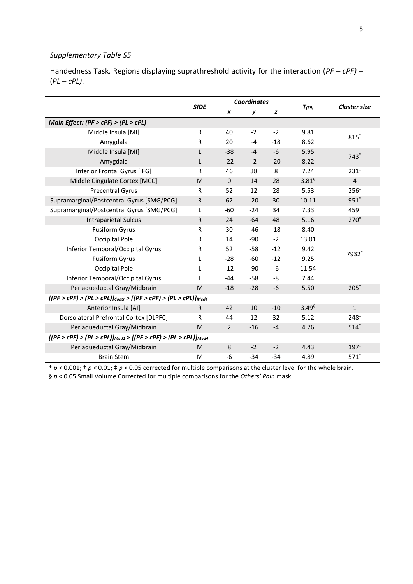|                                                                        | <b>SIDE</b>  |                | <b>Coordinates</b> |       |                      |                     |
|------------------------------------------------------------------------|--------------|----------------|--------------------|-------|----------------------|---------------------|
|                                                                        |              | x              | y                  | z     | $T_{(59)}$           | <b>Cluster size</b> |
| Main Effect: (PF > cPF) > (PL > cPL)                                   |              |                |                    |       |                      |                     |
| Middle Insula [MI]                                                     | $\mathsf{R}$ | 40             | $-2$               | $-2$  | 9.81                 | $815$ *             |
| Amygdala                                                               | $\mathsf{R}$ | 20             | $-4$               | $-18$ | 8.62                 |                     |
| Middle Insula [MI]                                                     | L            | $-38$          | $-4$               | $-6$  | 5.95                 | $743*$              |
| Amygdala                                                               | L            | $-22$          | $-2$               | $-20$ | 8.22                 |                     |
| Inferior Frontal Gyrus [IFG]                                           | $\mathsf{R}$ | 46             | 38                 | 8     | 7.24                 | $231^+$             |
| Middle Cingulate Cortex [MCC]                                          | M            | $\mathbf{0}$   | 14                 | 28    | $3.81^{\frac{6}{5}}$ | $\overline{4}$      |
| <b>Precentral Gyrus</b>                                                | $\mathsf{R}$ | 52             | 12                 | 28    | 5.53                 | $256^{\ddagger}$    |
| Supramarginal/Postcentral Gyrus [SMG/PCG]                              | $\mathsf{R}$ | 62             | $-20$              | 30    | 10.11                | $951*$              |
| Supramarginal/Postcentral Gyrus [SMG/PCG]                              | L            | $-60$          | $-24$              | 34    | 7.33                 | $459*$              |
| <b>Intraparietal Sulcus</b>                                            | R            | 24             | $-64$              | 48    | 5.16                 | $270^{\ddagger}$    |
| <b>Fusiform Gyrus</b>                                                  | R            | 30             | -46                | $-18$ | 8.40                 |                     |
| Occipital Pole                                                         | R            | 14             | -90                | $-2$  | 13.01                |                     |
| Inferior Temporal/Occipital Gyrus                                      | R            | 52             | -58                | $-12$ | 9.42                 | 7932*               |
| <b>Fusiform Gyrus</b>                                                  | L            | $-28$          | -60                | $-12$ | 9.25                 |                     |
| Occipital Pole                                                         | L            | $-12$          | -90                | $-6$  | 11.54                |                     |
| Inferior Temporal/Occipital Gyrus                                      |              | $-44$          | -58                | -8    | 7.44                 |                     |
| Periaqueductal Gray/Midbrain                                           | M            | $-18$          | $-28$              | -6    | 5.50                 | $205^{\ddagger}$    |
| $[(PF > cPF) > (PL > cPL)]_{contr} > [(PF > cPF) > (PL > cPL)]_{Med4}$ |              |                |                    |       |                      |                     |
| Anterior Insula [AI]                                                   | R            | 42             | 10                 | $-10$ | 3.49 <sup>6</sup>    | $\mathbf{1}$        |
| Dorsolateral Prefrontal Cortex [DLPFC]                                 | R            | 44             | 12                 | 32    | 5.12                 | $248^{\ddagger}$    |
| Periaqueductal Gray/Midbrain                                           | M            | $\overline{2}$ | $-16$              | $-4$  | 4.76                 | $514*$              |
| $[(PF > cPF) > (PL > cPL)]_{Med1} > [(PF > cPF) > (PL > cPL)]_{Med4}$  |              |                |                    |       |                      |                     |
| Periaqueductal Gray/Midbrain                                           | M            | 8              | $-2$               | $-2$  | 4.43                 | 197 <sup>‡</sup>    |
| <b>Brain Stem</b>                                                      | M            | -6             | $-34$              | $-34$ | 4.89                 | $571*$              |

Handedness Task. Regions displaying suprathreshold activity for the interaction (*PF – cPF) –* (*PL – cPL)*.

\* *p* < 0.001; † *p* < 0.01; ‡ *p* < 0.05 corrected for multiple comparisons at the cluster level for the whole brain. § *p* < 0.05 Small Volume Corrected for multiple comparisons for the *Others' Pain* mask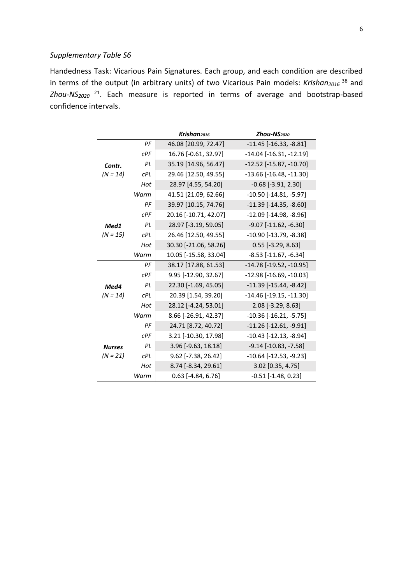Handedness Task: Vicarious Pain Signatures. Each group, and each condition are described in terms of the output (in arbitrary units) of two Vicarious Pain models: *Krishan2016* <sup>38</sup> and *Zhou-NS2020* <sup>21</sup>. Each measure is reported in terms of average and bootstrap-based confidence intervals.

|               |            | Krishan <sub>2016</sub> | Zhou-NS <sub>2020</sub>          |
|---------------|------------|-------------------------|----------------------------------|
|               | PF         | 46.08 [20.99, 72.47]    | $-11.45$ [ $-16.33$ , $-8.81$ ]  |
|               | CPF        | 16.76 [-0.61, 32.97]    | $-14.04$ [ $-16.31$ , $-12.19$ ] |
| Contr.        | PL         | 35.19 [14.96, 56.47]    | $-12.52$ [ $-15.87$ , $-10.70$ ] |
| $(N = 14)$    | cPL        | 29.46 [12.50, 49.55]    | $-13.66$ [ $-16.48$ , $-11.30$ ] |
|               | Hot        | 28.97 [4.55, 54.20]     | $-0.68$ $[-3.91, 2.30]$          |
|               | Warm       | 41.51 [21.09, 62.66]    | $-10.50$ [ $-14.81$ , $-5.97$ ]  |
|               | PF         | 39.97 [10.15, 74.76]    | $-11.39$ $[-14.35, -8.60]$       |
|               | CPF        | 20.16 [-10.71, 42.07]   | $-12.09$ [ $-14.98$ , $-8.96$ ]  |
| Med1          | PL         | 28.97 [-3.19, 59.05]    | $-9.07$ $[-11.62, -6.30]$        |
| $(N = 15)$    | cPL        | 26.46 [12.50, 49.55]    | $-10.90$ [ $-13.79$ , $-8.38$ ]  |
|               | Hot        | 30.30 [-21.06, 58.26]   | $0.55$ [-3.29, 8.63]             |
|               | Warm       | 10.05 [-15.58, 33.04]   | $-8.53$ [ $-11.67$ , $-6.34$ ]   |
|               | PF         | 38.17 [17.88, 61.53]    | -14.78 [-19.52, -10.95]          |
|               | CPF        | 9.95 [-12.90, 32.67]    | $-12.98$ [ $-16.69$ , $-10.03$ ] |
| Med4          | PL         | 22.30 [-1.69, 45.05]    | $-11.39$ $[-15.44, -8.42]$       |
| $(N = 14)$    | cPL        | 20.39 [1.54, 39.20]     | $-14.46$ [ $-19.15$ , $-11.30$ ] |
|               | Hot        | 28.12 [-4.24, 53.01]    | 2.08 [-3.29, 8.63]               |
|               | Warm       | 8.66 [-26.91, 42.37]    | $-10.36$ [ $-16.21$ , $-5.75$ ]  |
|               | РF         | 24.71 [8.72, 40.72]     | -11.26 [-12.61, -9.91]           |
|               | CPF        | 3.21 [-10.30, 17.98]    | $-10.43$ $[-12.13, -8.94]$       |
| <b>Nurses</b> | PL         | 3.96 [-9.63, 18.18]     | $-9.14$ [ $-10.83$ , $-7.58$ ]   |
| $(N = 21)$    | <b>cPL</b> | 9.62 [-7.38, 26.42]     | $-10.64$ [ $-12.53$ , $-9.23$ ]  |
|               | Hot        | 8.74 [-8.34, 29.61]     | 3.02 [0.35, 4.75]                |
|               | Warm       | $0.63$ [-4.84, 6.76]    | $-0.51$ [ $-1.48$ , 0.23]        |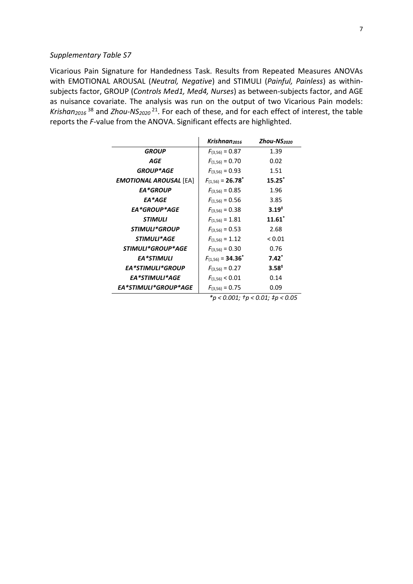Vicarious Pain Signature for Handedness Task. Results from Repeated Measures ANOVAs with EMOTIONAL AROUSAL (*Neutral, Negative*) and STIMULI (*Painful, Painless*) as withinsubjects factor, GROUP (*Controls Med1, Med4, Nurses*) as between-subjects factor, and AGE as nuisance covariate. The analysis was run on the output of two Vicarious Pain models: *Krishan2016* <sup>38</sup> and *Zhou-NS2020* <sup>21</sup>. For each of these, and for each effect of interest, the table reports the *F*-value from the ANOVA. Significant effects are highlighted.

|                               | Krishnan <sub>2016</sub>          | <b>Zhou-NS</b> <sub>2020</sub>       |
|-------------------------------|-----------------------------------|--------------------------------------|
| <b>GROUP</b>                  | $F_{(3,56)} = 0.87$               | 1.39                                 |
| AGE                           | $F_{(1.56)} = 0.70$               | 0.02                                 |
| <b>GROUP*AGE</b>              | $F_{(3.56)} = 0.93$               | 1.51                                 |
| <b>EMOTIONAL AROUSAL</b> [EA] | $F_{(1,56)} = 26.78$ <sup>*</sup> | $15.25^*$                            |
| <b>EA*GROUP</b>               | $F_{(3.56)} = 0.85$               | 1.96                                 |
| EA*AGE                        | $F_{(1.56)} = 0.56$               | 3.85                                 |
| EA*GROUP*AGE                  | $F_{(3.56)} = 0.38$               | $3.19^{+}$                           |
| <b>STIMULI</b>                | $F_{(1.56)} = 1.81$               | $11.61*$                             |
| STIMULI*GROUP                 | $F_{(3,56)} = 0.53$               | 2.68                                 |
| STIMULI*AGE                   | $F_{(1,56)} = 1.12$               | < 0.01                               |
| STIMULI*GROUP*AGE             | $F_{(3,56)} = 0.30$               | 0.76                                 |
| <b>EA*STIMULI</b>             | $F_{(1,56)} = 34.36^*$            | $7.42*$                              |
| EA*STIMULI*GROUP              | $F_{(3,56)} = 0.27$               | $3.58^{*}$                           |
| EA*STIMULI*AGE                | $F_{(1,56)}$ < 0.01               | 0.14                                 |
| EA*STIMULI*GROUP*AGE          | $F_{(3,56)} = 0.75$               | 0.09                                 |
|                               |                                   | *p < 0.001; $tp$ < 0.01; $tp$ < 0.05 |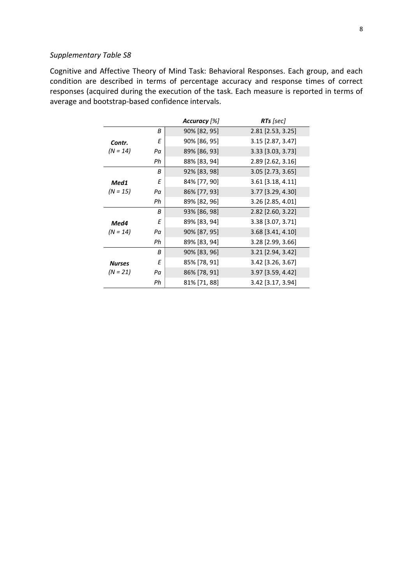Cognitive and Affective Theory of Mind Task: Behavioral Responses. Each group, and each condition are described in terms of percentage accuracy and response times of correct responses (acquired during the execution of the task. Each measure is reported in terms of average and bootstrap-based confidence intervals.

|               |    | Accuracy [%] | <b>RTs</b> [sec]           |
|---------------|----|--------------|----------------------------|
|               | В  | 90% [82, 95] | 2.81 [2.53, 3.25]          |
| Contr.        | Ε  | 90% [86, 95] | 3.15 [2.87, 3.47]          |
| $(N = 14)$    | Pα | 89% [86, 93] | $3.33$ [ $3.03$ , $3.73$ ] |
|               | Рh | 88% [83, 94] | 2.89 [2.62, 3.16]          |
|               | В  | 92% [83, 98] | $3.05$ [2.73, 3.65]        |
| Med1          | Ε  | 84% [77, 90] | 3.61 [3.18, 4.11]          |
| $(N = 15)$    | Pa | 86% [77, 93] | 3.77 [3.29, 4.30]          |
|               | Ph | 89% [82, 96] | 3.26 [2.85, 4.01]          |
|               | В  | 93% [86, 98] | $2.82$ [2.60, 3.22]        |
| Med4          | Ε  | 89% [83, 94] | 3.38 [3.07, 3.71]          |
| $(N = 14)$    | Pa | 90% [87, 95] | 3.68 [3.41, 4.10]          |
|               | Ph | 89% [83, 94] | 3.28 [2.99, 3.66]          |
|               | Β  | 90% [83, 96] | $3.21$ [2.94, 3.42]        |
| <b>Nurses</b> | Ε  | 85% [78, 91] | 3.42 [3.26, 3.67]          |
| (N = 21)      | Pa | 86% [78, 91] | $3.97$ [3.59, 4.42]        |
|               | Ph | 81% [71, 88] | 3.42 [3.17, 3.94]          |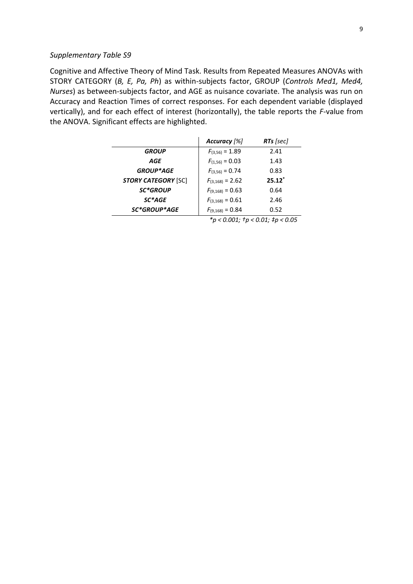Cognitive and Affective Theory of Mind Task. Results from Repeated Measures ANOVAs with STORY CATEGORY (*B, E, Pa, Ph*) as within-subjects factor, GROUP (*Controls Med1, Med4, Nurses*) as between-subjects factor, and AGE as nuisance covariate. The analysis was run on Accuracy and Reaction Times of correct responses. For each dependent variable (displayed vertically), and for each effect of interest (horizontally), the table reports the *F*-value from the ANOVA. Significant effects are highlighted.

|                            | Accuracy [%]         | RTs [sec] |
|----------------------------|----------------------|-----------|
| <b>GROUP</b>               | $F_{(3,56)} = 1.89$  | 2.41      |
| AGE                        | $F_{(1,56)} = 0.03$  | 1.43      |
| <b>GROUP*AGE</b>           | $F_{(3,56)} = 0.74$  | 0.83      |
| <b>STORY CATEGORY [SC]</b> | $F_{(3,168)} = 2.62$ | $25.12*$  |
| <b>SC*GROUP</b>            | $F(9,168) = 0.63$    | 0.64      |
| SC*AGE                     | $F_{(3.168)} = 0.61$ | 2.46      |
| <b>SC*GROUP*AGE</b>        | $F_{(9,168)} = 0.84$ | 0.52      |

*\*p < 0.001; †p < 0.01; ‡p < 0.05*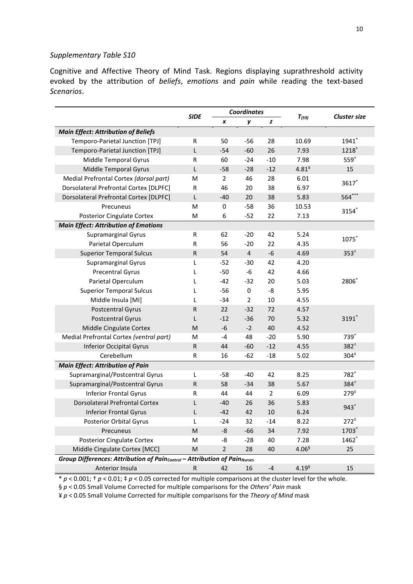Cognitive and Affective Theory of Mind Task. Regions displaying suprathreshold activity evoked by the attribution of *beliefs*, *emotions* and *pain* while reading the text-based *Scenarios*.

|                                                                           |              | <b>Coordinates</b> |                         |                |                   |                     |
|---------------------------------------------------------------------------|--------------|--------------------|-------------------------|----------------|-------------------|---------------------|
|                                                                           | <b>SIDE</b>  | x                  | у                       | z              | $T_{(59)}$        | <b>Cluster size</b> |
| <b>Main Effect: Attribution of Beliefs</b>                                |              |                    |                         |                |                   |                     |
| Temporo-Parietal Junction [TPJ]                                           | R            | 50                 | $-56$                   | 28             | 10.69             | 1941*               |
| Temporo-Parietal Junction [TPJ]                                           | L            | $-54$              | $-60$                   | 26             | 7.93              | 1218*               |
| Middle Temporal Gyrus                                                     | R            | 60                 | $-24$                   | $-10$          | 7.98              | $559^{+}$           |
| Middle Temporal Gyrus                                                     | L            | $-58$              | $-28$                   | $-12$          | $4.81*$           | 15                  |
| Medial Prefrontal Cortex (dorsal part)                                    | M            | $\overline{2}$     | 46                      | 28             | 6.01              | 3617*               |
| Dorsolateral Prefrontal Cortex [DLPFC]                                    | R            | 46                 | 20                      | 38             | 6.97              |                     |
| Dorsolateral Prefrontal Cortex [DLPFC]                                    | L            | $-40$              | 20                      | 38             | 5.83              | 564***              |
| Precuneus                                                                 | M            | $\pmb{0}$          | $-58$                   | 36             | 10.53             | 3154*               |
| <b>Posterior Cingulate Cortex</b>                                         | M            | 6                  | $-52$                   | 22             | 7.13              |                     |
| <b>Main Effect: Attribution of Emotions</b>                               |              |                    |                         |                |                   |                     |
| Supramarginal Gyrus                                                       | R            | 62                 | $-20$                   | 42             | 5.24              | 1075*               |
| Parietal Operculum                                                        | R            | 56                 | $-20$                   | 22             | 4.35              |                     |
| <b>Superior Temporal Sulcus</b>                                           | R            | 54                 | $\overline{\mathbf{4}}$ | $-6$           | 4.69              | $353^{+}$           |
| <b>Supramarginal Gyrus</b>                                                | L            | $-52$              | $-30$                   | 42             | 4.20              |                     |
| <b>Precentral Gyrus</b>                                                   | L            | $-50$              | $-6$                    | 42             | 4.66              |                     |
| Parietal Operculum                                                        | L            | $-42$              | $-32$                   | 20             | 5.03              | 2806                |
| <b>Superior Temporal Sulcus</b>                                           | L            | $-56$              | 0                       | -8             | 5.95              |                     |
| Middle Insula [MI]                                                        | L            | $-34$              | $\overline{2}$          | 10             | 4.55              |                     |
| <b>Postcentral Gyrus</b>                                                  | R            | 22                 | $-32$                   | 72             | 4.57              |                     |
| <b>Postcentral Gyrus</b>                                                  | $\mathbf{L}$ | $-12$              | $-36$                   | 70             | 5.32              | 3191*               |
| Middle Cingulate Cortex                                                   | M            | $-6$               | $-2$                    | 40             | 4.52              |                     |
| Medial Prefrontal Cortex (ventral part)                                   | M            | $-4$               | 48                      | $-20$          | 5.90              | 739*                |
| <b>Inferior Occipital Gyrus</b>                                           | $\sf R$      | 44                 | $-60$                   | $-12$          | 4.55              | $382^{+}$           |
| Cerebellum                                                                | R            | 16                 | $-62$                   | $-18$          | 5.02              | 304 <sup>‡</sup>    |
| <b>Main Effect: Attribution of Pain</b>                                   |              |                    |                         |                |                   |                     |
| Supramarginal/Postcentral Gyrus                                           | L            | $-58$              | $-40$                   | 42             | 8.25              | 782*                |
| Supramarginal/Postcentral Gyrus                                           | $\mathsf{R}$ | 58                 | $-34$                   | 38             | 5.67              | $384^{+}$           |
| <b>Inferior Frontal Gyrus</b>                                             | R            | 44                 | 44                      | $\overline{2}$ | 6.09              | $279^{\ddagger}$    |
| <b>Dorsolateral Prefrontal Cortex</b>                                     | L            | $-40$              | 26                      | 36             | 5.83              | $943$ <sup>*</sup>  |
| <b>Inferior Frontal Gyrus</b>                                             | L            | $-42$              | 42                      | 10             | 6.24              |                     |
| <b>Posterior Orbital Gyrus</b>                                            | L            | $-24$              | 32                      | $-14$          | 8.22              | $272^+$             |
| Precuneus                                                                 | M            | -8                 | $-66$                   | 34             | 7.92              | 1703*               |
| <b>Posterior Cingulate Cortex</b>                                         | M            | -8                 | $-28$                   | 40             | 7.28              | 1462*               |
| Middle Cingulate Cortex [MCC]                                             | M            | $\overline{2}$     | 28                      | 40             | 4.06 <sup>6</sup> | 25                  |
| Group Differences: Attribution of Paincontrol - Attribution of PainNurses |              |                    |                         |                |                   |                     |
| Anterior Insula                                                           | R            | 42                 | 16                      | $-4$           | $4.19^{6}$        | 15                  |

 $* p < 0.001$ ;  $\dagger p < 0.01$ ;  $\dagger p < 0.05$  corrected for multiple comparisons at the cluster level for the whole.

§ *p* < 0.05 Small Volume Corrected for multiple comparisons for the *Others' Pain* mask

¥ *p* < 0.05 Small Volume Corrected for multiple comparisons for the *Theory of Mind* mask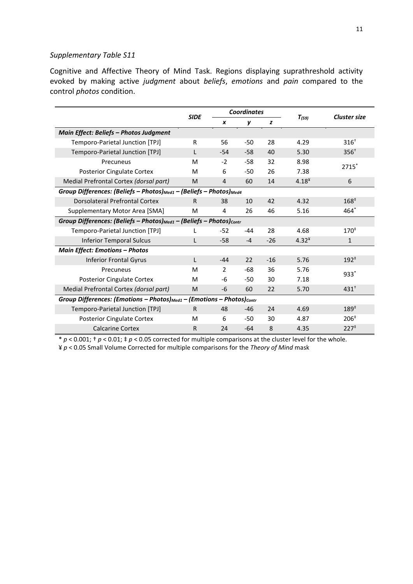Cognitive and Affective Theory of Mind Task. Regions displaying suprathreshold activity evoked by making active *judgment* about *beliefs*, *emotions* and *pain* compared to the control *photos* condition.

|                                                                                            | <b>Coordinates</b><br><b>SIDE</b> |               |       | $T_{(59)}$ |            | <b>Cluster size</b> |  |  |  |
|--------------------------------------------------------------------------------------------|-----------------------------------|---------------|-------|------------|------------|---------------------|--|--|--|
|                                                                                            |                                   | X             | y     | z          |            |                     |  |  |  |
| Main Effect: Beliefs - Photos Judgment                                                     |                                   |               |       |            |            |                     |  |  |  |
| Temporo-Parietal Junction [TPJ]                                                            | R                                 | 56            | $-50$ | 28         | 4.29       | $316^{+}$           |  |  |  |
| Temporo-Parietal Junction [TPJ]                                                            | L                                 | $-54$         | $-58$ | 40         | 5.30       | $356+$              |  |  |  |
| Precuneus                                                                                  | M                                 | $-2$          | $-58$ | 32         | 8.98       | 2715                |  |  |  |
| <b>Posterior Cingulate Cortex</b>                                                          | M                                 | 6             | $-50$ | 26         | 7.38       |                     |  |  |  |
| Medial Prefrontal Cortex (dorsal part)                                                     | M                                 | 4             | 60    | 14         | $4.18^{4}$ | 6                   |  |  |  |
| Group Differences: (Beliefs - Photos) <sub>Med1</sub> - (Beliefs - Photos) <sub>Med4</sub> |                                   |               |       |            |            |                     |  |  |  |
| Dorsolateral Prefrontal Cortex                                                             | R.                                | 38            | 10    | 42         | 4.32       | $168^{\ddagger}$    |  |  |  |
| Supplementary Motor Area [SMA]                                                             | M                                 | 4             | 26    | 46         | 5.16       | $464*$              |  |  |  |
| Group Differences: (Beliefs - Photos) $_{Med1}$ - (Beliefs - Photos) $_{Contr}$            |                                   |               |       |            |            |                     |  |  |  |
| Temporo-Parietal Junction [TPJ]                                                            |                                   | $-52$         | -44   | 28         | 4.68       | $170^{\ddagger}$    |  |  |  |
| <b>Inferior Temporal Sulcus</b>                                                            |                                   | $-58$         | $-4$  | $-26$      | $4.32*$    | $\mathbf{1}$        |  |  |  |
| <b>Main Effect: Emotions - Photos</b>                                                      |                                   |               |       |            |            |                     |  |  |  |
| <b>Inferior Frontal Gyrus</b>                                                              | L                                 | $-44$         | 22    | $-16$      | 5.76       | $192^+$             |  |  |  |
| Precuneus                                                                                  | M                                 | $\mathcal{P}$ | -68   | 36         | 5.76       | $933*$              |  |  |  |
| <b>Posterior Cingulate Cortex</b>                                                          | M                                 | -6            | -50   | 30         | 7.18       |                     |  |  |  |
| Medial Prefrontal Cortex (dorsal part)                                                     | M                                 | $-6$          | 60    | 22         | 5.70       | $431^+$             |  |  |  |
| Group Differences: (Emotions - Photos) Med1 - (Emotions - Photos) contr                    |                                   |               |       |            |            |                     |  |  |  |
| Temporo-Parietal Junction [TPJ]                                                            | $\mathsf{R}$                      | 48            | -46   | 24         | 4.69       | $189*$              |  |  |  |
| <b>Posterior Cingulate Cortex</b>                                                          | M                                 | 6             | $-50$ | 30         | 4.87       | 206 <sup>‡</sup>    |  |  |  |
| <b>Calcarine Cortex</b>                                                                    | R                                 | 24            | $-64$ | 8          | 4.35       | 227 <sup>‡</sup>    |  |  |  |

\* *p* < 0.001; † *p* < 0.01; ‡ *p* < 0.05 corrected for multiple comparisons at the cluster level for the whole. ¥ *p* < 0.05 Small Volume Corrected for multiple comparisons for the *Theory of Mind* mask